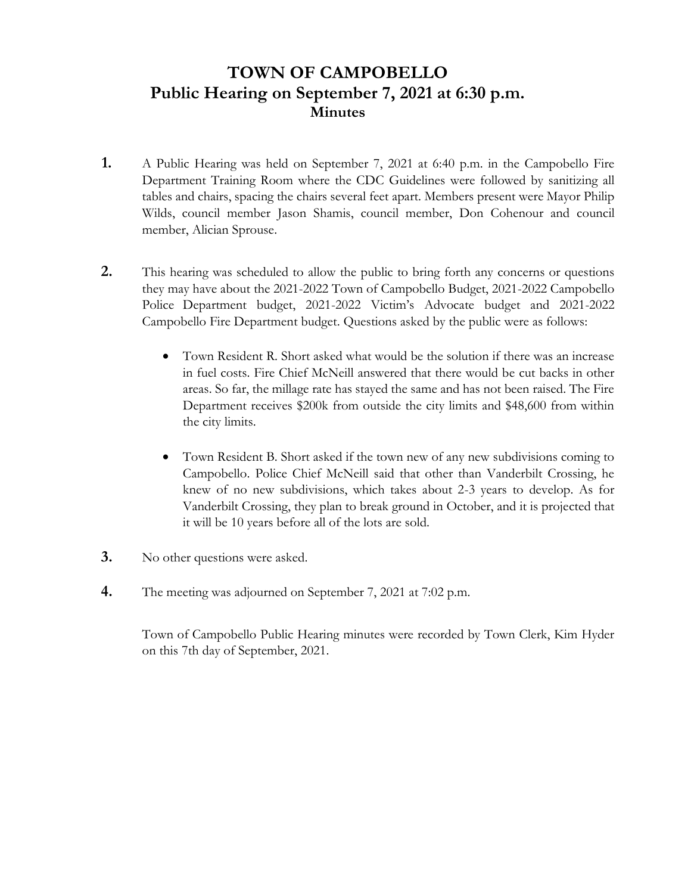# **TOWN OF CAMPOBELLO Public Hearing on September 7, 2021 at 6:30 p.m. Minutes**

- **1.** A Public Hearing was held on September 7, 2021 at 6:40 p.m. in the Campobello Fire Department Training Room where the CDC Guidelines were followed by sanitizing all tables and chairs, spacing the chairs several feet apart. Members present were Mayor Philip Wilds, council member Jason Shamis, council member, Don Cohenour and council member, Alician Sprouse.
- **2.** This hearing was scheduled to allow the public to bring forth any concerns or questions they may have about the 2021-2022 Town of Campobello Budget, 2021-2022 Campobello Police Department budget, 2021-2022 Victim's Advocate budget and 2021-2022 Campobello Fire Department budget. Questions asked by the public were as follows:
	- Town Resident R. Short asked what would be the solution if there was an increase in fuel costs. Fire Chief McNeill answered that there would be cut backs in other areas. So far, the millage rate has stayed the same and has not been raised. The Fire Department receives \$200k from outside the city limits and \$48,600 from within the city limits.
	- Town Resident B. Short asked if the town new of any new subdivisions coming to Campobello. Police Chief McNeill said that other than Vanderbilt Crossing, he knew of no new subdivisions, which takes about 2-3 years to develop. As for Vanderbilt Crossing, they plan to break ground in October, and it is projected that it will be 10 years before all of the lots are sold.
- **3.** No other questions were asked.
- **4.** The meeting was adjourned on September 7, 2021 at 7:02 p.m.

 Town of Campobello Public Hearing minutes were recorded by Town Clerk, Kim Hyder on this 7th day of September, 2021.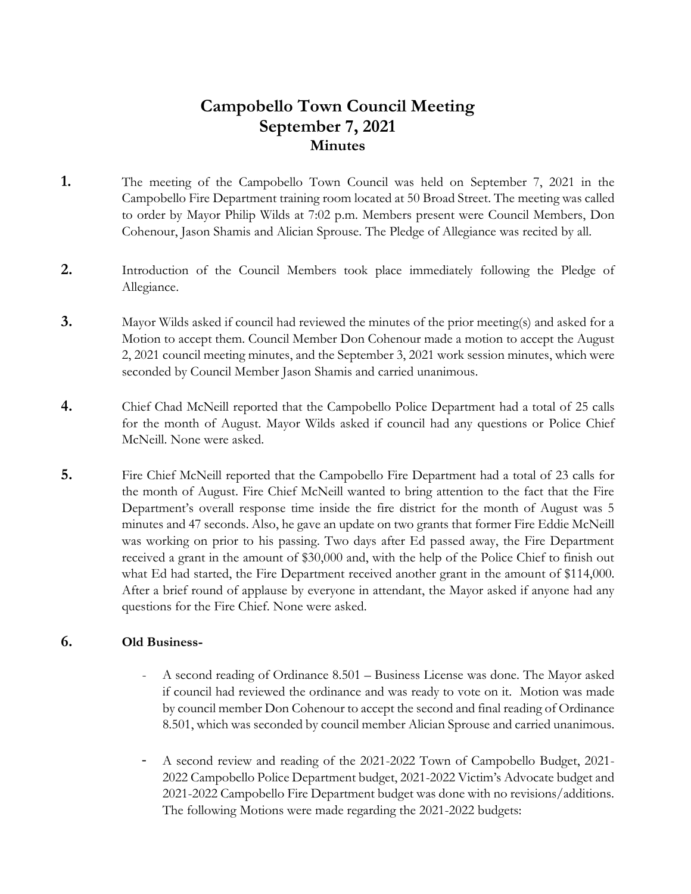# **Campobello Town Council Meeting September 7, 2021 Minutes**

- **1.** The meeting of the Campobello Town Council was held on September 7, 2021 in the Campobello Fire Department training room located at 50 Broad Street. The meeting was called to order by Mayor Philip Wilds at 7:02 p.m. Members present were Council Members, Don Cohenour, Jason Shamis and Alician Sprouse. The Pledge of Allegiance was recited by all.
- **2.** Introduction of the Council Members took place immediately following the Pledge of Allegiance.
- **3.** Mayor Wilds asked if council had reviewed the minutes of the prior meeting(s) and asked for a Motion to accept them. Council Member Don Cohenour made a motion to accept the August 2, 2021 council meeting minutes, and the September 3, 2021 work session minutes, which were seconded by Council Member Jason Shamis and carried unanimous.
- **4.** Chief Chad McNeill reported that the Campobello Police Department had a total of 25 calls for the month of August. Mayor Wilds asked if council had any questions or Police Chief McNeill. None were asked.
- **5.** Fire Chief McNeill reported that the Campobello Fire Department had a total of 23 calls for the month of August. Fire Chief McNeill wanted to bring attention to the fact that the Fire Department's overall response time inside the fire district for the month of August was 5 minutes and 47 seconds. Also, he gave an update on two grants that former Fire Eddie McNeill was working on prior to his passing. Two days after Ed passed away, the Fire Department received a grant in the amount of \$30,000 and, with the help of the Police Chief to finish out what Ed had started, the Fire Department received another grant in the amount of \$114,000. After a brief round of applause by everyone in attendant, the Mayor asked if anyone had any questions for the Fire Chief. None were asked.

#### **6. Old Business-**

- A second reading of Ordinance 8.501 Business License was done. The Mayor asked if council had reviewed the ordinance and was ready to vote on it. Motion was made by council member Don Cohenour to accept the second and final reading of Ordinance 8.501, which was seconded by council member Alician Sprouse and carried unanimous.
- A second review and reading of the 2021-2022 Town of Campobello Budget, 2021- 2022 Campobello Police Department budget, 2021-2022 Victim's Advocate budget and 2021-2022 Campobello Fire Department budget was done with no revisions/additions. The following Motions were made regarding the 2021-2022 budgets: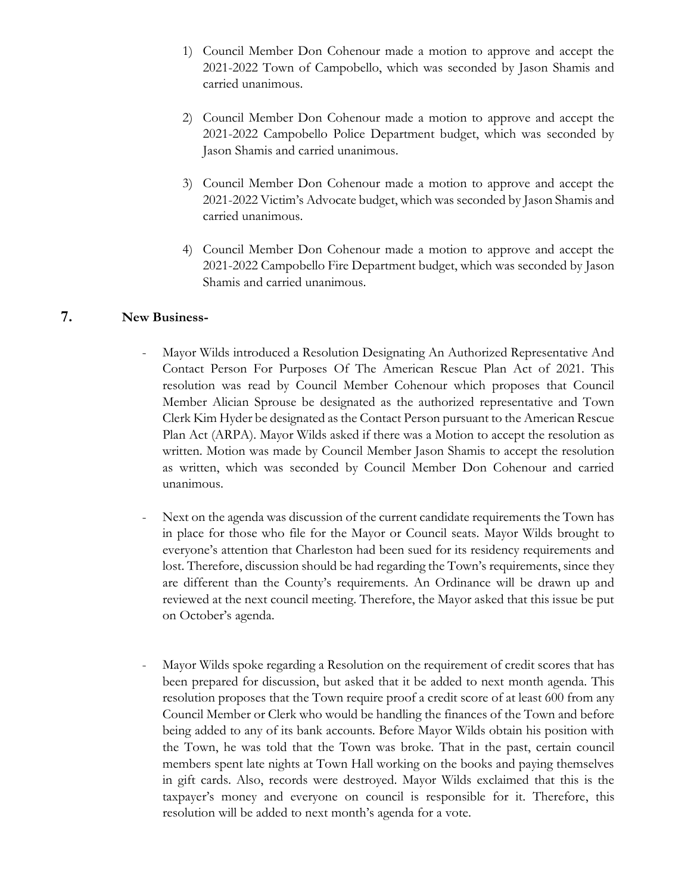- 1) Council Member Don Cohenour made a motion to approve and accept the 2021-2022 Town of Campobello, which was seconded by Jason Shamis and carried unanimous.
- 2) Council Member Don Cohenour made a motion to approve and accept the 2021-2022 Campobello Police Department budget, which was seconded by Jason Shamis and carried unanimous.
- 3) Council Member Don Cohenour made a motion to approve and accept the 2021-2022 Victim's Advocate budget, which was seconded by Jason Shamis and carried unanimous.
- 4) Council Member Don Cohenour made a motion to approve and accept the 2021-2022 Campobello Fire Department budget, which was seconded by Jason Shamis and carried unanimous.

### **7. New Business-**

- Mayor Wilds introduced a Resolution Designating An Authorized Representative And Contact Person For Purposes Of The American Rescue Plan Act of 2021. This resolution was read by Council Member Cohenour which proposes that Council Member Alician Sprouse be designated as the authorized representative and Town Clerk Kim Hyder be designated as the Contact Person pursuant to the American Rescue Plan Act (ARPA). Mayor Wilds asked if there was a Motion to accept the resolution as written. Motion was made by Council Member Jason Shamis to accept the resolution as written, which was seconded by Council Member Don Cohenour and carried unanimous.
- Next on the agenda was discussion of the current candidate requirements the Town has in place for those who file for the Mayor or Council seats. Mayor Wilds brought to everyone's attention that Charleston had been sued for its residency requirements and lost. Therefore, discussion should be had regarding the Town's requirements, since they are different than the County's requirements. An Ordinance will be drawn up and reviewed at the next council meeting. Therefore, the Mayor asked that this issue be put on October's agenda.
- Mayor Wilds spoke regarding a Resolution on the requirement of credit scores that has been prepared for discussion, but asked that it be added to next month agenda. This resolution proposes that the Town require proof a credit score of at least 600 from any Council Member or Clerk who would be handling the finances of the Town and before being added to any of its bank accounts. Before Mayor Wilds obtain his position with the Town, he was told that the Town was broke. That in the past, certain council members spent late nights at Town Hall working on the books and paying themselves in gift cards. Also, records were destroyed. Mayor Wilds exclaimed that this is the taxpayer's money and everyone on council is responsible for it. Therefore, this resolution will be added to next month's agenda for a vote.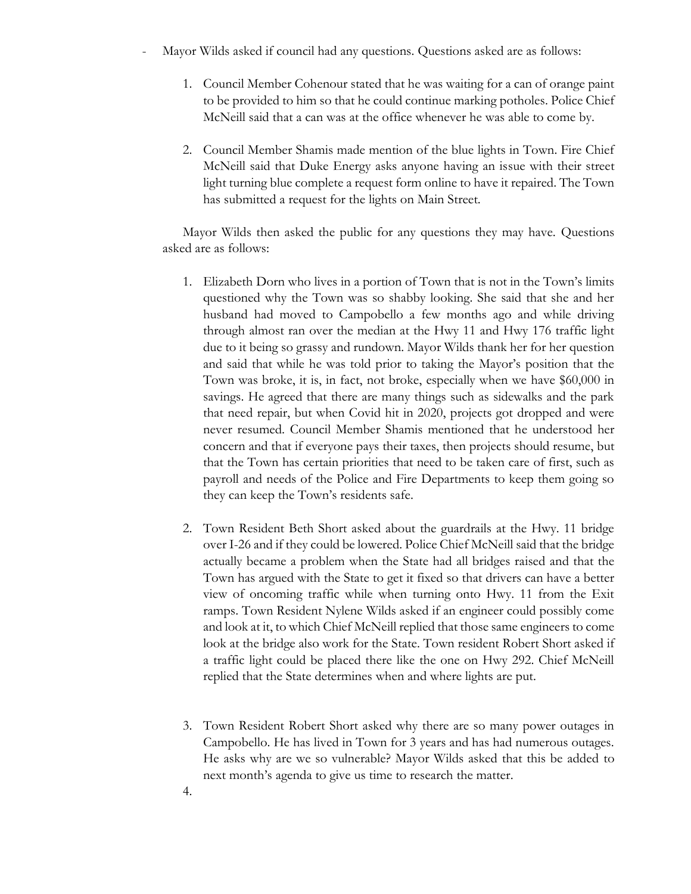- Mayor Wilds asked if council had any questions. Questions asked are as follows:
	- 1. Council Member Cohenour stated that he was waiting for a can of orange paint to be provided to him so that he could continue marking potholes. Police Chief McNeill said that a can was at the office whenever he was able to come by.
	- 2. Council Member Shamis made mention of the blue lights in Town. Fire Chief McNeill said that Duke Energy asks anyone having an issue with their street light turning blue complete a request form online to have it repaired. The Town has submitted a request for the lights on Main Street.

Mayor Wilds then asked the public for any questions they may have. Questions asked are as follows:

- 1. Elizabeth Dorn who lives in a portion of Town that is not in the Town's limits questioned why the Town was so shabby looking. She said that she and her husband had moved to Campobello a few months ago and while driving through almost ran over the median at the Hwy 11 and Hwy 176 traffic light due to it being so grassy and rundown. Mayor Wilds thank her for her question and said that while he was told prior to taking the Mayor's position that the Town was broke, it is, in fact, not broke, especially when we have \$60,000 in savings. He agreed that there are many things such as sidewalks and the park that need repair, but when Covid hit in 2020, projects got dropped and were never resumed. Council Member Shamis mentioned that he understood her concern and that if everyone pays their taxes, then projects should resume, but that the Town has certain priorities that need to be taken care of first, such as payroll and needs of the Police and Fire Departments to keep them going so they can keep the Town's residents safe.
- 2. Town Resident Beth Short asked about the guardrails at the Hwy. 11 bridge over I-26 and if they could be lowered. Police Chief McNeill said that the bridge actually became a problem when the State had all bridges raised and that the Town has argued with the State to get it fixed so that drivers can have a better view of oncoming traffic while when turning onto Hwy. 11 from the Exit ramps. Town Resident Nylene Wilds asked if an engineer could possibly come and look at it, to which Chief McNeill replied that those same engineers to come look at the bridge also work for the State. Town resident Robert Short asked if a traffic light could be placed there like the one on Hwy 292. Chief McNeill replied that the State determines when and where lights are put.
- 3. Town Resident Robert Short asked why there are so many power outages in Campobello. He has lived in Town for 3 years and has had numerous outages. He asks why are we so vulnerable? Mayor Wilds asked that this be added to next month's agenda to give us time to research the matter.